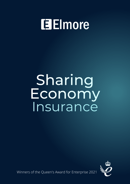# **Elmore**

# Sharing Economy Insurance



Winners of the Queen's Award for Enterprise 2021